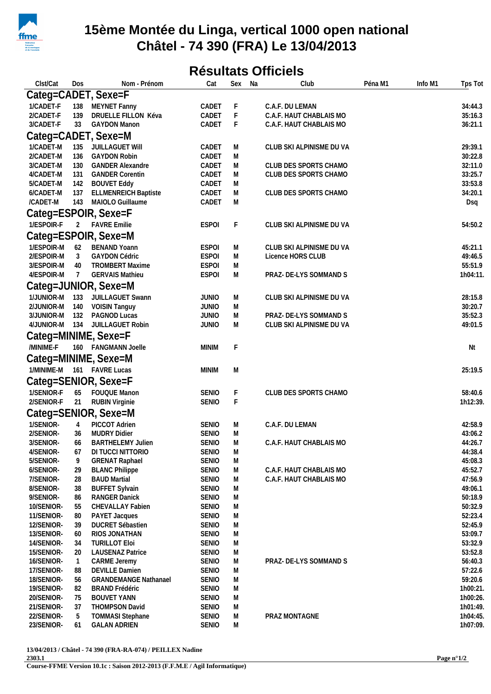

## **15ème Montée du Linga, vertical 1000 open national Châtel - 74 390 (FRA) Le 13/04/2013**

## **Résultats Officiels**

| Clst/Cat                 | Dos            | Nom - Prénom                                   | Cat                          | Sex         | Na | Club                                          | Péna M1 | Info M1 | Tps Tot              |  |  |  |
|--------------------------|----------------|------------------------------------------------|------------------------------|-------------|----|-----------------------------------------------|---------|---------|----------------------|--|--|--|
| Categ=CADET, Sexe=F      |                |                                                |                              |             |    |                                               |         |         |                      |  |  |  |
| 1/CADET-F                | 138            | MEYNET Fanny                                   | CADET                        | F           |    | C.A.F. DU LEMAN                               |         |         | 34:44.3              |  |  |  |
| 2/CADET-F                | 139            | DRUELLE FILLON Kéva                            | CADET                        | $\mathsf F$ |    | C.A.F. HAUT CHABLAIS MO                       |         |         | 35:16.3              |  |  |  |
| 3/CADET-F                | 33             | <b>GAYDON Manon</b>                            | CADET                        | F           |    | C.A.F. HAUT CHABLAIS MO                       |         |         | 36:21.1              |  |  |  |
| Categ=CADET, Sexe=M      |                |                                                |                              |             |    |                                               |         |         |                      |  |  |  |
| 1/CADET-M                | 135            | JUILLAGUET Will                                | CADET                        | M           |    | CLUB SKI ALPINISME DU VA                      |         |         | 29:39.1              |  |  |  |
| 2/CADET-M                | 136            | <b>GAYDON Robin</b>                            | CADET                        | M           |    |                                               |         |         | 30:22.8              |  |  |  |
| 3/CADET-M                | 130            | <b>GANDER Alexandre</b>                        | CADET                        | M           |    | CLUB DES SPORTS CHAMO                         |         |         | 32:11.0              |  |  |  |
| 4/CADET-M                | 131            | <b>GANDER Corentin</b>                         | CADET                        | M           |    | CLUB DES SPORTS CHAMO                         |         |         | 33:25.7              |  |  |  |
| 5/CADET-M                | 142            | <b>BOUVET Eddy</b>                             | CADET                        | M           |    |                                               |         |         | 33:53.8              |  |  |  |
| 6/CADET-M                | 137            | <b>ELLMENREICH Baptiste</b>                    | CADET                        | M           |    | CLUB DES SPORTS CHAMO                         |         |         | 34:20.1              |  |  |  |
| /CADET-M                 | 143            | MAIOLO Guillaume                               | CADET                        | M           |    |                                               |         |         | Dsq                  |  |  |  |
| Categ=ESPOIR, Sexe=F     |                |                                                |                              |             |    |                                               |         |         |                      |  |  |  |
| 1/ESPOIR-F               |                | 2 FAVRE Emilie                                 | <b>ESPOI</b>                 | F           |    | CLUB SKI ALPINISME DU VA                      |         |         | 54:50.2              |  |  |  |
|                          |                | Categ=ESPOIR, Sexe=M                           |                              |             |    |                                               |         |         |                      |  |  |  |
| 1/ESPOIR-M               |                | <b>BENAND Yoann</b>                            |                              |             |    |                                               |         |         |                      |  |  |  |
| 2/ESPOIR-M               | 62<br>3        | <b>GAYDON Cédric</b>                           | <b>ESPOI</b><br><b>ESPOI</b> | M<br>M      |    | CLUB SKI ALPINISME DU VA<br>Licence HORS CLUB |         |         | 45:21.1<br>49:46.5   |  |  |  |
| 3/ESPOIR-M               | 40             | <b>TROMBERT Maxime</b>                         | <b>ESPOI</b>                 | M           |    |                                               |         |         | 55:51.9              |  |  |  |
| 4/ESPOIR-M               | $\overline{7}$ | <b>GERVAIS Mathieu</b>                         | <b>ESPOI</b>                 | M           |    | PRAZ- DE-LYS SOMMAND S                        |         |         | 1h04:11.             |  |  |  |
|                          |                | Categ=JUNIOR, Sexe=M                           |                              |             |    |                                               |         |         |                      |  |  |  |
| 1/JUNIOR-M 133           |                | JUILLAGUET Swann                               | <b>JUNIO</b>                 | M           |    | CLUB SKI ALPINISME DU VA                      |         |         | 28:15.8              |  |  |  |
| 2/JUNIOR-M 140           |                | <b>VOISIN Tanguy</b>                           | <b>JUNIO</b>                 | M           |    |                                               |         |         | 30:20.7              |  |  |  |
| 3/JUNIOR-M 132           |                | PAGNOD Lucas                                   | <b>JUNIO</b>                 | M           |    | PRAZ- DE-LYS SOMMAND S                        |         |         | 35:52.3              |  |  |  |
| 4/JUNIOR-M 134           |                | JUILLAGUET Robin                               | <b>JUNIO</b>                 | M           |    | CLUB SKI ALPINISME DU VA                      |         |         | 49:01.5              |  |  |  |
|                          |                | Categ=MINIME, Sexe=F                           |                              |             |    |                                               |         |         |                      |  |  |  |
| /MINIME-F                |                | 160 FANGMANN Joelle                            | <b>MINIM</b>                 | F           |    |                                               |         |         | Nt                   |  |  |  |
|                          |                |                                                |                              |             |    |                                               |         |         |                      |  |  |  |
|                          |                | Categ=MINIME, Sexe=M                           |                              |             |    |                                               |         |         |                      |  |  |  |
|                          |                | 1/MINIME-M 161 FAVRE Lucas                     | <b>MINIM</b>                 | M           |    |                                               |         |         | 25:19.5              |  |  |  |
|                          |                | Categ=SENIOR, Sexe=F                           |                              |             |    |                                               |         |         |                      |  |  |  |
| 1/SENIOR-F               | 65             | <b>FOUQUE Manon</b>                            | <b>SENIO</b>                 | F           |    | CLUB DES SPORTS CHAMO                         |         |         | 58:40.6              |  |  |  |
| 2/SENIOR-F               | 21             | <b>RUBIN Virginie</b>                          | <b>SENIO</b>                 | $\mathsf F$ |    |                                               |         |         | 1h12:39.             |  |  |  |
|                          |                | Categ=SENIOR, Sexe=M                           |                              |             |    |                                               |         |         |                      |  |  |  |
| 1/SENIOR-                | 4              | PICCOT Adrien                                  | SENIO                        | M           |    | C.A.F. DU LEMAN                               |         |         | 42:58.9              |  |  |  |
| 2/SENIOR-                | 36             | <b>MUDRY Didier</b>                            | <b>SENIO</b>                 | M           |    |                                               |         |         | 43:06.2              |  |  |  |
| 3/SENIOR-                | 66             | <b>BARTHELEMY Julien</b>                       | <b>SENIO</b>                 | M           |    | C.A.F. HAUT CHABLAIS MO                       |         |         | 44:26.7              |  |  |  |
| 4/SENIOR-                | 67             | DI TUCCI NITTORIO                              | <b>SENIO</b>                 | M           |    |                                               |         |         | 44:38.4              |  |  |  |
| 5/SENIOR-                | 9              | <b>GRENAT Raphael</b>                          | <b>SENIO</b>                 | M           |    |                                               |         |         | 45:08.3              |  |  |  |
| 6/SENIOR-                | 29             | <b>BLANC Philippe</b>                          | <b>SENIO</b>                 | M           |    | C.A.F. HAUT CHABLAIS MO                       |         |         | 45:52.7              |  |  |  |
| 7/SENIOR-                | 28             | <b>BAUD Martial</b>                            | <b>SENIO</b>                 | M           |    | C.A.F. HAUT CHABLAIS MO                       |         |         | 47:56.9              |  |  |  |
| 8/SENIOR-<br>9/SENIOR-   | 38<br>86       | <b>BUFFET Sylvain</b><br>RANGER Danick         | <b>SENIO</b><br><b>SENIO</b> | M<br>M      |    |                                               |         |         | 49:06.1<br>50:18.9   |  |  |  |
| 10/SENIOR-               | 55             | CHEVALLAY Fabien                               | <b>SENIO</b>                 | M           |    |                                               |         |         | 50:32.9              |  |  |  |
| 11/SENIOR-               | 80             | PAYET Jacques                                  | <b>SENIO</b>                 | M           |    |                                               |         |         | 52:23.4              |  |  |  |
| 12/SENIOR-               | 39             | DUCRET Sébastien                               | <b>SENIO</b>                 | M           |    |                                               |         |         | 52:45.9              |  |  |  |
| 13/SENIOR-               | 60             | RIOS JONATHAN                                  | <b>SENIO</b>                 | M           |    |                                               |         |         | 53:09.7              |  |  |  |
| 14/SENIOR-               | 34             | <b>TURILLOT Eloi</b>                           | <b>SENIO</b>                 | M           |    |                                               |         |         | 53:32.9              |  |  |  |
| 15/SENIOR-               | 20             | <b>LAUSENAZ Patrice</b>                        | <b>SENIO</b>                 | M           |    |                                               |         |         | 53:52.8              |  |  |  |
| 16/SENIOR-               | $\mathbf{1}$   | CARME Jeremy                                   | <b>SENIO</b>                 | M           |    | PRAZ- DE-LYS SOMMAND S                        |         |         | 56:40.3              |  |  |  |
| 17/SENIOR-               | 88             | <b>DEVILLE Damien</b>                          | <b>SENIO</b>                 | M           |    |                                               |         |         | 57:22.6              |  |  |  |
| 18/SENIOR-               | 56             | <b>GRANDEMANGE Nathanael</b>                   | <b>SENIO</b>                 | M           |    |                                               |         |         | 59:20.6              |  |  |  |
| 19/SENIOR-               | 82             | <b>BRAND Frédéric</b>                          | <b>SENIO</b>                 | M           |    |                                               |         |         | 1h00:21.             |  |  |  |
| 20/SENIOR-               | 75             | <b>BOUVET YANN</b>                             | <b>SENIO</b>                 | M           |    |                                               |         |         | 1h00:26.             |  |  |  |
| 21/SENIOR-<br>22/SENIOR- | 37             | THOMPSON David                                 | <b>SENIO</b><br><b>SENIO</b> | M           |    | PRAZ MONTAGNE                                 |         |         | 1h01:49.<br>1h04:45. |  |  |  |
| 23/SENIOR-               | 5<br>61        | <b>TOMMASI Stephane</b><br><b>GALAN ADRIEN</b> | <b>SENIO</b>                 | M<br>M      |    |                                               |         |         | 1h07:09.             |  |  |  |
|                          |                |                                                |                              |             |    |                                               |         |         |                      |  |  |  |

**13/04/2013 / Châtel - 74 390 (FRA-RA-074) / PEILLEX Nadine 2303.1**